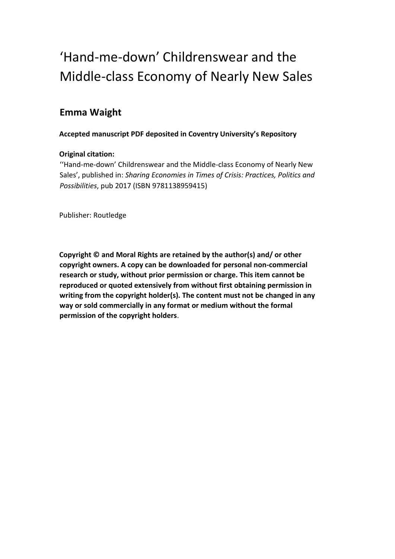# 'Hand-me-down' Childrenswear and the Middle-class Economy of Nearly New Sales

## **Emma Waight**

## **Accepted manuscript PDF deposited in Coventry University's Repository**

## **Original citation:**

 ''Hand-me-down' Childrenswear and the Middle-class Economy of Nearly New Sales', published in: *Sharing Economies in Times of Crisis: Practices, Politics and Possibilities*, pub 2017 (ISBN 9781138959415)

Publisher: Routledge

 **Copyright © and Moral Rights are retained by the author(s) and/ or other copyright owners. A copy can be downloaded for personal non-commercial research or study, without prior permission or charge. This item cannot be reproduced or quoted extensively from without first obtaining permission in writing from the copyright holder(s). The content must not be changed in any way or sold commercially in any format or medium without the formal permission of the copyright holders**.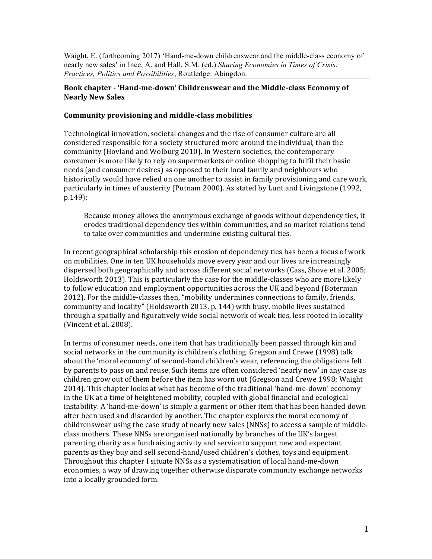Waight, E. (forthcoming 2017) 'Hand-me-down childrenswear and the middle-class economy of nearly new sales' in Ince, A. and Hall, S.M. (ed.) *Sharing Economies in Times of Crisis: Practices, Politics and Possibilities*, Routledge: Abingdon.

#### **Book chapter - 'Hand-me-down' Childrenswear and the Middle-class Economy of Nearly New Sales**

#### **Community provisioning and middle-class mobilities**

 Technological innovation, societal changes and the rise of consumer culture are all considered responsible for a society structured more around the individual, than the community (Hovland and Wolburg 2010). In Western societies, the contemporary consumer is more likely to rely on supermarkets or online shopping to fulfil their basic needs (and consumer desires) as opposed to their local family and neighbours who historically would have relied on one another to assist in family provisioning and care work, particularly in times of austerity (Putnam 2000). As stated by Lunt and Livingstone (1992, p.149):

 Because money allows the anonymous exchange of goods without dependency ties, it erodes traditional dependency ties within communities, and so market relations tend to take over communities and undermine existing cultural ties.

In recent geographical scholarship this erosion of dependency ties has been a focus of work on mobilities. One in ten UK households move every year and our lives are increasingly dispersed both geographically and across different social networks (Cass, Shove et al. 2005; Holdsworth 2013). This is particularly the case for the middle-classes who are more likely to follow education and employment opportunities across the UK and beyond (Boterman 2012). For the middle-classes then, "mobility undermines connections to family, friends, community and locality" (Holdsworth 2013, p. 144) with busy, mobile lives sustained through a spatially and figuratively wide social network of weak ties, less rooted in locality (Vincent et al. 2008).

In terms of consumer needs, one item that has traditionally been passed through kin and social networks in the community is children's clothing. Gregson and Crewe (1998) talk about the 'moral economy' of second-hand children's wear, referencing the obligations felt by parents to pass on and reuse. Such items are often considered 'nearly new' in any case as children grow out of them before the item has worn out (Gregson and Crewe 1998; Waight 2014). This chapter looks at what has become of the traditional 'hand-me-down' economy in the UK at a time of heightened mobility, coupled with global financial and ecological instability. A 'hand-me-down' is simply a garment or other item that has been handed down after been used and discarded by another. The chapter explores the moral economy of childrenswear using the case study of nearly new sales (NNSs) to access a sample of middleclass mothers. These NNSs are organised nationally by branches of the UK's largest parenting charity as a fundraising activity and service to support new and expectant parents as they buy and sell second-hand/used children's clothes, toys and equipment. Throughout this chapter I situate NNSs as a systematisation of local hand-me-down economies, a way of drawing together otherwise disparate community exchange networks into a locally grounded form.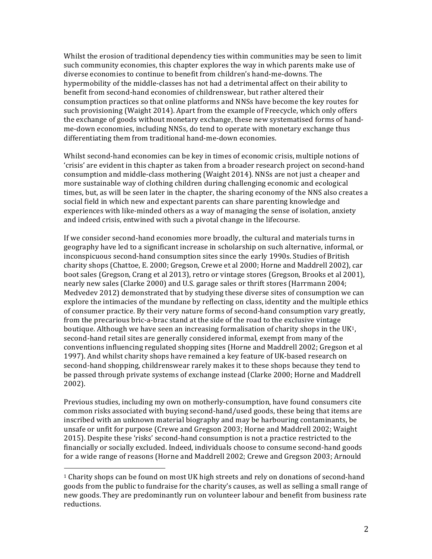Whilst the erosion of traditional dependency ties within communities may be seen to limit such community economies, this chapter explores the way in which parents make use of diverse economies to continue to benefit from children's hand-me-downs. The hypermobility of the middle-classes has not had a detrimental affect on their ability to benefit from second-hand economies of childrenswear, but rather altered their consumption practices so that online platforms and NNSs have become the key routes for such provisioning (Waight 2014). Apart from the example of Freecycle, which only offers the exchange of goods without monetary exchange, these new systematised forms of handdifferentiating them from traditional hand-me-down economies. me-down economies, including NNSs, do tend to operate with monetary exchange thus

Whilst second-hand economies can be key in times of economic crisis, multiple notions of consumption and middle-class mothering (Waight 2014). NNSs are not just a cheaper and more sustainable way of clothing children during challenging economic and ecological times, but, as will be seen later in the chapter, the sharing economy of the NNS also creates a social field in which new and expectant parents can share parenting knowledge and experiences with like-minded others as a way of managing the sense of isolation, anxiety and indeed crisis, entwined with such a pivotal change in the lifecourse. 'crisis' are evident in this chapter as taken from a broader research project on second-hand

If we consider second-hand economies more broadly, the cultural and materials turns in geography have led to a significant increase in scholarship on such alternative, informal, or inconspicuous second-hand consumption sites since the early 1990s. Studies of British charity shops (Chattoe, E. 2000; Gregson, Crewe et al 2000; Horne and Maddrell 2002), car boot sales (Gregson, Crang et al 2013), retro or vintage stores (Gregson, Brooks et al 2001), nearly new sales (Clarke 2000) and U.S. garage sales or thrift stores (Harrmann 2004; Medvedev 2012) demonstrated that by studying these diverse sites of consumption we can explore the intimacies of the mundane by reflecting on class, identity and the multiple ethics of consumer practice. By their very nature forms of second-hand consumption vary greatly, from the precarious bric-a-brac stand at the side of the road to the exclusive vintage boutique. Although we have seen an increasing formalisation of charity shops in the UK<sup>1</sup>, second-hand retail sites are generally considered informal, exempt from many of the conventions influencing regulated shopping sites (Horne and Maddrell 2002; Gregson et al 1997). And whilst charity shops have remained a key feature of UK-based research on second-hand shopping, childrenswear rarely makes it to these shops because they tend to be passed through private systems of exchange instead (Clarke 2000; Horne and Maddrell 2002).

Previous studies, including my own on motherly-consumption, have found consumers cite common risks associated with buying second-hand/used goods, these being that items are inscribed with an unknown material biography and may be harbouring contaminants, be unsafe or unfit for purpose (Crewe and Gregson 2003; Horne and Maddrell 2002; Waight 2015). Despite these 'risks' second-hand consumption is not a practice restricted to the financially or socially excluded. Indeed, individuals choose to consume second-hand goods for a wide range of reasons (Horne and Maddrell 2002; Crewe and Gregson 2003; Arnould

 

 $1$  Charity shops can be found on most UK high streets and rely on donations of second-hand goods from the public to fundraise for the charity's causes, as well as selling a small range of new goods. They are predominantly run on volunteer labour and benefit from business rate reductions.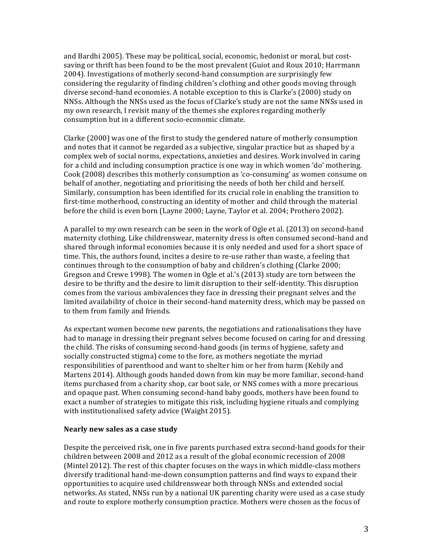and Bardhi 2005). These may be political, social, economic, hedonist or moral, but costsaving or thrift has been found to be the most prevalent (Guiot and Roux 2010; Harrmann 2004). Investigations of motherly second-hand consumption are surprisingly few considering the regularity of finding children's clothing and other goods moving through diverse second-hand economies. A notable exception to this is Clarke's (2000) study on NNSs. Although the NNSs used as the focus of Clarke's study are not the same NNSs used in my own research, I revisit many of the themes she explores regarding motherly consumption but in a different socio-economic climate.

Clarke (2000) was one of the first to study the gendered nature of motherly consumption and notes that it cannot be regarded as a subjective, singular practice but as shaped by a complex web of social norms, expectations, anxieties and desires. Work involved in caring for a child and including consumption practice is one way in which women 'do' mothering. Cook (2008) describes this motherly consumption as 'co-consuming' as women consume on behalf of another, negotiating and prioritising the needs of both her child and herself. Similarly, consumption has been identified for its crucial role in enabling the transition to first-time motherhood, constructing an identity of mother and child through the material before the child is even born (Layne 2000; Layne, Taylor et al. 2004; Prothero 2002).

A parallel to my own research can be seen in the work of Ogle et al. (2013) on second-hand maternity clothing. Like childrenswear, maternity dress is often consumed second-hand and shared through informal economies because it is only needed and used for a short space of time. This, the authors found, incites a desire to re-use rather than waste, a feeling that continues through to the consumption of baby and children's clothing (Clarke 2000; Gregson and Crewe 1998). The women in Ogle et al.'s (2013) study are torn between the desire to be thrifty and the desire to limit disruption to their self-identity. This disruption comes from the various ambivalences they face in dressing their pregnant selves and the limited availability of choice in their second-hand maternity dress, which may be passed on to them from family and friends. 

As expectant women become new parents, the negotiations and rationalisations they have had to manage in dressing their pregnant selves become focused on caring for and dressing the child. The risks of consuming second-hand goods (in terms of hygiene, safety and socially constructed stigma) come to the fore, as mothers negotiate the myriad responsibilities of parenthood and want to shelter him or her from harm (Kehily and Martens 2014). Although goods handed down from kin may be more familiar, second-hand items purchased from a charity shop, car boot sale, or NNS comes with a more precarious and opaque past. When consuming second-hand baby goods, mothers have been found to exact a number of strategies to mitigate this risk, including hygiene rituals and complying with institutionalised safety advice (Waight 2015).

#### **Nearly new sales as a case study**

Despite the perceived risk, one in five parents purchased extra second-hand goods for their children between 2008 and 2012 as a result of the global economic recession of 2008 (Mintel 2012). The rest of this chapter focuses on the ways in which middle-class mothers diversify traditional hand-me-down consumption patterns and find ways to expand their opportunities to acquire used childrenswear both through NNSs and extended social networks. As stated, NNSs run by a national UK parenting charity were used as a case study and route to explore motherly consumption practice. Mothers were chosen as the focus of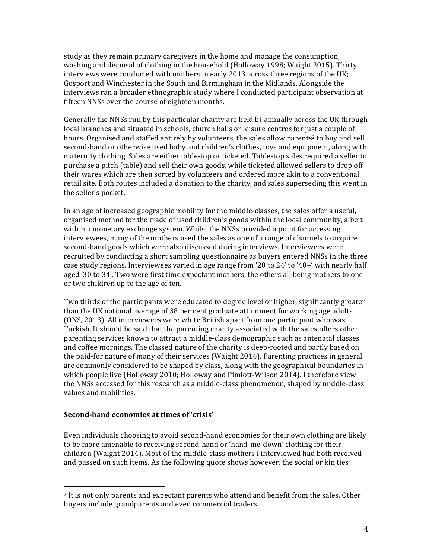study as they remain primary caregivers in the home and manage the consumption, washing and disposal of clothing in the household (Holloway 1998; Waight 2015). Thirty interviews were conducted with mothers in early 2013 across three regions of the UK; Gosport and Winchester in the South and Birmingham in the Midlands. Alongside the interviews ran a broader ethnographic study where I conducted participant observation at fifteen NNSs over the course of eighteen months.

Generally the NNSs run by this particular charity are held bi-annually across the UK through local branches and situated in schools, church halls or leisure centres for just a couple of hours. Organised and staffed entirely by volunteers, the sales allow parents<sup>2</sup> to buy and sell second-hand or otherwise used baby and children's clothes, toys and equipment, along with maternity clothing. Sales are either table-top or ticketed. Table-top sales required a seller to purchase a pitch (table) and sell their own goods, while ticketed allowed sellers to drop off their wares which are then sorted by volunteers and ordered more akin to a conventional retail site. Both routes included a donation to the charity, and sales superseding this went in the seller's pocket.

In an age of increased geographic mobility for the middle-classes, the sales offer a useful, organised method for the trade of used children's goods within the local community, albeit within a monetary exchange system. Whilst the NNSs provided a point for accessing second-hand goods which were also discussed during interviews. Interviewees were recruited by conducting a short sampling questionnaire as buyers entered NNSs in the three case study regions. Interviewees varied in age range from '20 to 24' to '40+' with nearly half aged '30 to 34'. Two were first time expectant mothers, the others all being mothers to one or two children up to the age of ten. interviewees, many of the mothers used the sales as one of a range of channels to acquire

 Two thirds of the participants were educated to degree level or higher, significantly greater than the UK national average of 38 per cent graduate attainment for working age adults (ONS, 2013). All interviewees were white British apart from one participant who was Turkish. It should be said that the parenting charity associated with the sales offers other parenting services known to attract a middle-class demographic such as antenatal classes and coffee mornings. The classed nature of the charity is deep-rooted and partly based on the paid-for nature of many of their services (Waight 2014). Parenting practices in general are commonly considered to be shaped by class, along with the geographical boundaries in which people live (Holloway 2010; Holloway and Pimlott-Wilson 2014). I therefore view the NNSs accessed for this research as a middle-class phenomenon, shaped by middle-class values and mobilities.

#### **Second-hand economies at times of 'crisis'**

 

Even individuals choosing to avoid second-hand economies for their own clothing are likely to be more amenable to receiving second-hand or 'hand-me-down' clothing for their children (Waight 2014). Most of the middle-class mothers I interviewed had both received and passed on such items. As the following quote shows however, the social or kin ties

 $2$  It is not only parents and expectant parents who attend and benefit from the sales. Other buyers include grandparents and even commercial traders.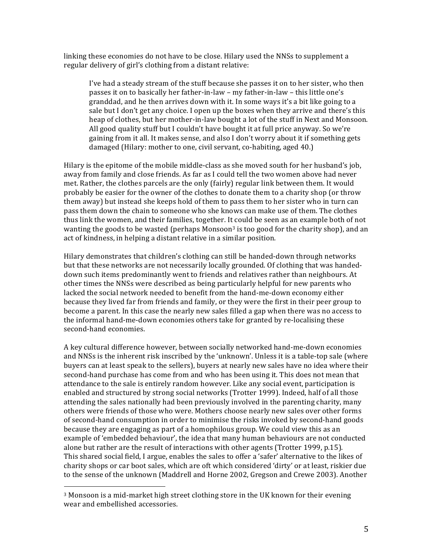linking these economies do not have to be close. Hilary used the NNSs to supplement a regular delivery of girl's clothing from a distant relative:

I've had a steady stream of the stuff because she passes it on to her sister, who then passes it on to basically her father-in-law – my father-in-law – this little one's granddad, and he then arrives down with it. In some ways it's a bit like going to a sale but I don't get any choice. I open up the boxes when they arrive and there's this heap of clothes, but her mother-in-law bought a lot of the stuff in Next and Monsoon. All good quality stuff but I couldn't have bought it at full price anyway. So we're gaining from it all. It makes sense, and also I don't worry about it if something gets damaged (Hilary: mother to one, civil servant, co-habiting, aged 40.)

 Hilary is the epitome of the mobile middle-class as she moved south for her husband's job, away from family and close friends. As far as I could tell the two women above had never met. Rather, the clothes parcels are the only (fairly) regular link between them. It would probably be easier for the owner of the clothes to donate them to a charity shop (or throw them away) but instead she keeps hold of them to pass them to her sister who in turn can pass them down the chain to someone who she knows can make use of them. The clothes thus link the women, and their families, together. It could be seen as an example both of not wanting the goods to be wasted (perhaps Monsoon<sup>3</sup> is too good for the charity shop), and an act of kindness, in helping a distant relative in a similar position.

Hilary demonstrates that children's clothing can still be handed-down through networks but that these networks are not necessarily locally grounded. Of clothing that was handeddown such items predominantly went to friends and relatives rather than neighbours. At other times the NNSs were described as being particularly helpful for new parents who lacked the social network needed to benefit from the hand-me-down economy either because they lived far from friends and family, or they were the first in their peer group to become a parent. In this case the nearly new sales filled a gap when there was no access to the informal hand-me-down economies others take for granted by re-localising these second-hand economies.

A key cultural difference however, between socially networked hand-me-down economies and NNSs is the inherent risk inscribed by the 'unknown'. Unless it is a table-top sale (where buyers can at least speak to the sellers), buyers at nearly new sales have no idea where their second-hand purchase has come from and who has been using it. This does not mean that attendance to the sale is entirely random however. Like any social event, participation is enabled and structured by strong social networks (Trotter 1999). Indeed, half of all those attending the sales nationally had been previously involved in the parenting charity, many others were friends of those who were. Mothers choose nearly new sales over other forms of second-hand consumption in order to minimise the risks invoked by second-hand goods because they are engaging as part of a homophilous group. We could view this as an example of 'embedded behaviour', the idea that many human behaviours are not conducted alone but rather are the result of interactions with other agents (Trotter 1999, p.15). This shared social field, I argue, enables the sales to offer a 'safer' alternative to the likes of charity shops or car boot sales, which are oft which considered 'dirty' or at least, riskier due to the sense of the unknown (Maddrell and Horne 2002, Gregson and Crewe 2003). Another

 

<sup>&</sup>lt;sup>3</sup> Monsoon is a mid-market high street clothing store in the UK known for their evening wear and embellished accessories.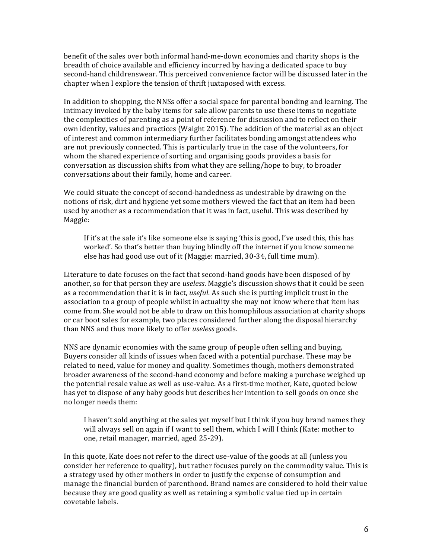benefit of the sales over both informal hand-me-down economies and charity shops is the breadth of choice available and efficiency incurred by having a dedicated space to buy second-hand childrenswear. This perceived convenience factor will be discussed later in the chapter when I explore the tension of thrift juxtaposed with excess.

In addition to shopping, the NNSs offer a social space for parental bonding and learning. The intimacy invoked by the baby items for sale allow parents to use these items to negotiate the complexities of parenting as a point of reference for discussion and to reflect on their own identity, values and practices (Waight 2015). The addition of the material as an object of interest and common intermediary further facilitates bonding amongst attendees who are not previously connected. This is particularly true in the case of the volunteers, for whom the shared experience of sorting and organising goods provides a basis for conversation as discussion shifts from what they are selling/hope to buy, to broader conversations about their family, home and career.

We could situate the concept of second-handedness as undesirable by drawing on the notions of risk, dirt and hygiene yet some mothers viewed the fact that an item had been used by another as a recommendation that it was in fact, useful. This was described by Maggie:

If it's at the sale it's like someone else is saying 'this is good, I've used this, this has worked'. So that's better than buying blindly off the internet if you know someone else has had good use out of it (Maggie: married, 30-34, full time mum).

Literature to date focuses on the fact that second-hand goods have been disposed of by another, so for that person they are *useless*. Maggie's discussion shows that it could be seen as a recommendation that it is in fact, *useful*. As such she is putting implicit trust in the association to a group of people whilst in actuality she may not know where that item has come from. She would not be able to draw on this homophilous association at charity shops or car boot sales for example, two places considered further along the disposal hierarchy than NNS and thus more likely to offer *useless* goods.

 NNS are dynamic economies with the same group of people often selling and buying. Buyers consider all kinds of issues when faced with a potential purchase. These may be related to need, value for money and quality. Sometimes though, mothers demonstrated broader awareness of the second-hand economy and before making a purchase weighed up the potential resale value as well as use-value. As a first-time mother, Kate, quoted below has yet to dispose of any baby goods but describes her intention to sell goods on once she no longer needs them:

I haven't sold anything at the sales yet myself but I think if you buy brand names they will always sell on again if I want to sell them, which I will I think (Kate: mother to one, retail manager, married, aged 25-29).

In this quote, Kate does not refer to the direct use-value of the goods at all (unless you consider her reference to quality), but rather focuses purely on the commodity value. This is a strategy used by other mothers in order to justify the expense of consumption and manage the financial burden of parenthood. Brand names are considered to hold their value because they are good quality as well as retaining a symbolic value tied up in certain covetable labels.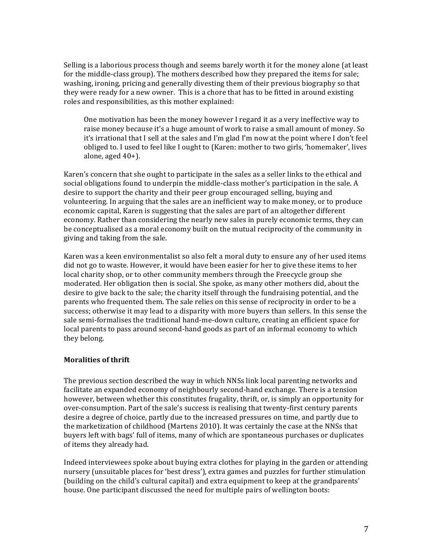Selling is a laborious process though and seems barely worth it for the money alone (at least for the middle-class group). The mothers described how they prepared the items for sale; washing, ironing, pricing and generally divesting them of their previous biography so that they were ready for a new owner. This is a chore that has to be fitted in around existing roles and responsibilities, as this mother explained:

 One motivation has been the money however I regard it as a very ineffective way to raise money because it's a huge amount of work to raise a small amount of money. So it's irrational that I sell at the sales and I'm glad I'm now at the point where I don't feel obliged to. I used to feel like I ought to (Karen: mother to two girls, 'homemaker', lives alone, aged 40+).

Karen's concern that she ought to participate in the sales as a seller links to the ethical and social obligations found to underpin the middle-class mother's participation in the sale. A desire to support the charity and their peer group encouraged selling, buying and economic capital, Karen is suggesting that the sales are part of an altogether different economy. Rather than considering the nearly new sales in purely economic terms, they can be conceptualised as a moral economy built on the mutual reciprocity of the community in giving and taking from the sale. volunteering. In arguing that the sales are an inefficient way to make money, or to produce

Karen was a keen environmentalist so also felt a moral duty to ensure any of her used items did not go to waste. However, it would have been easier for her to give these items to her local charity shop, or to other community members through the Freecycle group she moderated. Her obligation then is social. She spoke, as many other mothers did, about the desire to give back to the sale; the charity itself through the fundraising potential, and the parents who frequented them. The sale relies on this sense of reciprocity in order to be a success; otherwise it may lead to a disparity with more buyers than sellers. In this sense the sale semi-formalises the traditional hand-me-down culture, creating an efficient space for local parents to pass around second-hand goods as part of an informal economy to which they belong. 

#### **Moralities of thrift**

The previous section described the way in which NNSs link local parenting networks and facilitate an expanded economy of neighbourly second-hand exchange. There is a tension however, between whether this constitutes frugality, thrift, or, is simply an opportunity for over-consumption. Part of the sale's success is realising that twenty-first century parents desire a degree of choice, partly due to the increased pressures on time, and partly due to the marketization of childhood (Martens 2010). It was certainly the case at the NNSs that buyers left with bags' full of items, many of which are spontaneous purchases or duplicates of items they already had.

Indeed interviewees spoke about buying extra clothes for playing in the garden or attending nursery (unsuitable places for 'best dress'), extra games and puzzles for further stimulation (building on the child's cultural capital) and extra equipment to keep at the grandparents' house. One participant discussed the need for multiple pairs of wellington boots: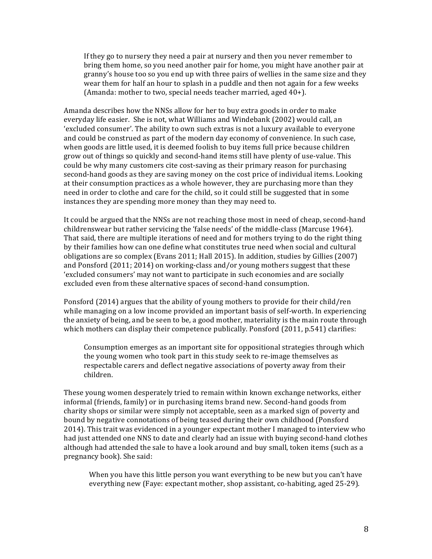If they go to nursery they need a pair at nursery and then you never remember to bring them home, so you need another pair for home, you might have another pair at granny's house too so you end up with three pairs of wellies in the same size and they wear them for half an hour to splash in a puddle and then not again for a few weeks (Amanda: mother to two, special needs teacher married, aged 40+).

Amanda describes how the NNSs allow for her to buy extra goods in order to make everyday life easier. She is not, what Williams and Windebank (2002) would call, an 'excluded consumer'. The ability to own such extras is not a luxury available to everyone and could be construed as part of the modern day economy of convenience. In such case, when goods are little used, it is deemed foolish to buy items full price because children grow out of things so quickly and second-hand items still have plenty of use-value. This could be why many customers cite cost-saving as their primary reason for purchasing second-hand goods as they are saving money on the cost price of individual items. Looking at their consumption practices as a whole however, they are purchasing more than they need in order to clothe and care for the child, so it could still be suggested that in some instances they are spending more money than they may need to.

It could be argued that the NNSs are not reaching those most in need of cheap, second-hand childrenswear but rather servicing the 'false needs' of the middle-class (Marcuse 1964). That said, there are multiple iterations of need and for mothers trying to do the right thing by their families how can one define what constitutes true need when social and cultural obligations are so complex (Evans 2011; Hall 2015). In addition, studies by Gillies (2007) and Ponsford (2011; 2014) on working-class and/or young mothers suggest that these excluded even from these alternative spaces of second-hand consumption. 'excluded consumers' may not want to participate in such economies and are socially

Ponsford (2014) argues that the ability of young mothers to provide for their child/ren while managing on a low income provided an important basis of self-worth. In experiencing the anxiety of being, and be seen to be, a good mother, materiality is the main route through which mothers can display their competence publically. Ponsford (2011, p.541) clarifies:

 Consumption emerges as an important site for oppositional strategies through which the young women who took part in this study seek to re-image themselves as respectable carers and deflect negative associations of poverty away from their children.

These young women desperately tried to remain within known exchange networks, either informal (friends, family) or in purchasing items brand new. Second-hand goods from charity shops or similar were simply not acceptable, seen as a marked sign of poverty and bound by negative connotations of being teased during their own childhood (Ponsford 2014). This trait was evidenced in a younger expectant mother I managed to interview who had just attended one NNS to date and clearly had an issue with buying second-hand clothes although had attended the sale to have a look around and buy small, token items (such as a pregnancy book). She said:

 When you have this little person you want everything to be new but you can't have everything new (Faye: expectant mother, shop assistant, co-habiting, aged 25-29).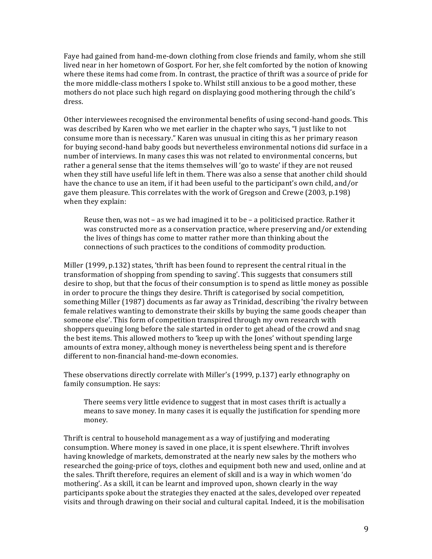Faye had gained from hand-me-down clothing from close friends and family, whom she still lived near in her hometown of Gosport. For her, she felt comforted by the notion of knowing where these items had come from. In contrast, the practice of thrift was a source of pride for the more middle-class mothers I spoke to. Whilst still anxious to be a good mother, these mothers do not place such high regard on displaying good mothering through the child's dress.

Other interviewees recognised the environmental benefits of using second-hand goods. This was described by Karen who we met earlier in the chapter who says, "I just like to not consume more than is necessary." Karen was unusual in citing this as her primary reason for buying second-hand baby goods but nevertheless environmental notions did surface in a number of interviews. In many cases this was not related to environmental concerns, but rather a general sense that the items themselves will 'go to waste' if they are not reused when they still have useful life left in them. There was also a sense that another child should have the chance to use an item, if it had been useful to the participant's own child, and/or gave them pleasure. This correlates with the work of Gregson and Crewe (2003, p.198) when they explain:

Reuse then, was not - as we had imagined it to be - a politicised practice. Rather it was constructed more as a conservation practice, where preserving and/or extending the lives of things has come to matter rather more than thinking about the connections of such practices to the conditions of commodity production.

 Miller (1999, p.132) states, 'thrift has been found to represent the central ritual in the transformation of shopping from spending to saving'. This suggests that consumers still desire to shop, but that the focus of their consumption is to spend as little money as possible in order to procure the things they desire. Thrift is categorised by social competition, something Miller (1987) documents as far away as Trinidad, describing 'the rivalry between female relatives wanting to demonstrate their skills by buying the same goods cheaper than someone else'. This form of competition transpired through my own research with shoppers queuing long before the sale started in order to get ahead of the crowd and snag the best items. This allowed mothers to 'keep up with the Jones' without spending large amounts of extra money, although money is nevertheless being spent and is therefore different to non-financial hand-me-down economies.

 These observations directly correlate with Miller's (1999, p.137) early ethnography on family consumption. He says:

There seems very little evidence to suggest that in most cases thrift is actually a means to save money. In many cases it is equally the justification for spending more money.

Thrift is central to household management as a way of justifying and moderating consumption. Where money is saved in one place, it is spent elsewhere. Thrift involves having knowledge of markets, demonstrated at the nearly new sales by the mothers who researched the going-price of toys, clothes and equipment both new and used, online and at the sales. Thrift therefore, requires an element of skill and is a way in which women 'do mothering'. As a skill, it can be learnt and improved upon, shown clearly in the way participants spoke about the strategies they enacted at the sales, developed over repeated visits and through drawing on their social and cultural capital. Indeed, it is the mobilisation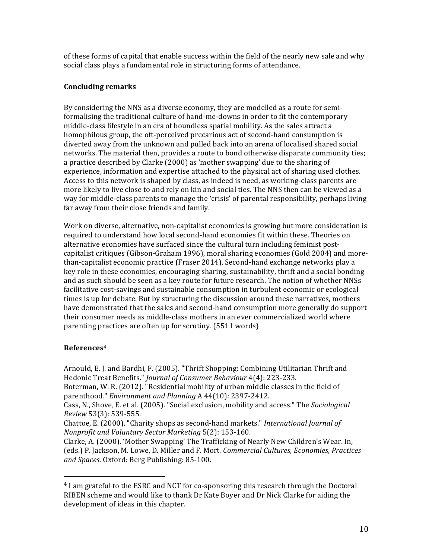of these forms of capital that enable success within the field of the nearly new sale and why social class plays a fundamental role in structuring forms of attendance.

#### **Concluding remarks**

By considering the NNS as a diverse economy, they are modelled as a route for semiformalising the traditional culture of hand-me-downs in order to fit the contemporary middle-class lifestyle in an era of boundless spatial mobility. As the sales attract a homophilous group, the oft-perceived precarious act of second-hand consumption is diverted away from the unknown and pulled back into an arena of localised shared social networks. The material then, provides a route to bond otherwise disparate community ties; a practice described by Clarke (2000) as 'mother swapping' due to the sharing of experience, information and expertise attached to the physical act of sharing used clothes. Access to this network is shaped by class, as indeed is need, as working-class parents are more likely to live close to and rely on kin and social ties. The NNS then can be viewed as a way for middle-class parents to manage the 'crisis' of parental responsibility, perhaps living far away from their close friends and family.

 Work on diverse, alternative, non-capitalist economies is growing but more consideration is required to understand how local second-hand economies fit within these. Theories on alternative economies have surfaced since the cultural turn including feminist post- capitalist critiques (Gibson-Graham 1996), moral sharing economies (Gold 2004) and morethan-capitalist economic practice (Fraser 2014). Second-hand exchange networks play a key role in these economies, encouraging sharing, sustainability, thrift and a social bonding and as such should be seen as a key route for future research. The notion of whether NNSs facilitative cost-savings and sustainable consumption in turbulent economic or ecological times is up for debate. But by structuring the discussion around these narratives, mothers have demonstrated that the sales and second-hand consumption more generally do support their consumer needs as middle-class mothers in an ever commercialized world where parenting practices are often up for scrutiny. (5511 words)

#### **References4**

 

 Arnould, E. J. and Bardhi, F. (2005). "Thrift Shopping: Combining Utilitarian Thrift and Hedonic Treat Benefits." *Journal of Consumer Behaviour* 4(4): 223-233.

 Boterman, W. R. (2012). "Residential mobility of urban middle classes in the field of  parenthood." *Environment and Planning* A 44(10): 2397-2412.

 Cass, N., Shove, E. et al. (2005). "Social exclusion, mobility and access." The *Sociological Review* 53(3): 539-555.

  Chattoe, E. (2000). "Charity shops as second-hand markets." *International Journal of Nonprofit and Voluntary Sector Marketing* 5(2): 153-160.

 Clarke, A. (2000). 'Mother Swapping' The Trafficking of Nearly New Children's Wear. In,  (eds.) P. Jackson, M. Lowe, D. Miller and F. Mort. *Commercial Cultures, Economies, Practices and Spaces*. Oxford: Berg Publishing: 85-100.

<sup>&</sup>lt;sup>4</sup> I am grateful to the ESRC and NCT for co-sponsoring this research through the Doctoral RIBEN scheme and would like to thank Dr Kate Boyer and Dr Nick Clarke for aiding the development of ideas in this chapter.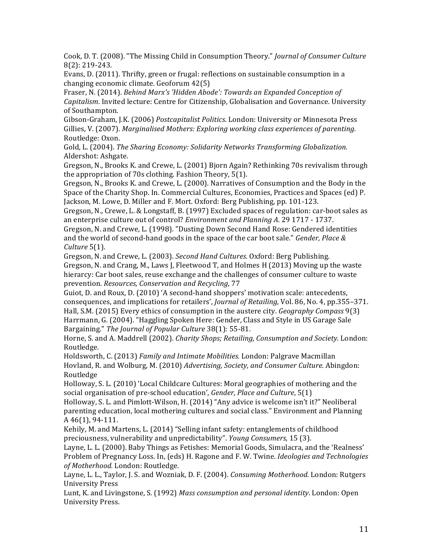Cook, D. T. (2008). "The Missing Child in Consumption Theory." *Journal of Consumer Culture* 8(2): 219-243.

Evans, D. (2011). Thrifty, green or frugal: reflections on sustainable consumption in a changing economic climate. Geoforum 42(5)

  Fraser, N. (2014). *Behind Marx's 'Hidden Abode': Towards an Expanded Conception of Capitalism*. Invited lecture: Centre for Citizenship, Globalisation and Governance. University of Southampton.

 Gibson-Graham, J.K. (2006) *Postcapitalist Politics*. London: University or Minnesota Press  Gillies, V. (2007). *Marginalised Mothers: Exploring working class experiences of parenting.* Routledge: Oxon.

  Gold, L. (2004). *The Sharing Economy: Solidarity Networks Transforming Globalization.* Aldershot: Ashgate.

 Gregson, N., Brooks K. and Crewe, L. (2001) Bjorn Again? Rethinking 70s revivalism through the appropriation of 70s clothing. Fashion Theory, 5(1).

 Gregson, N., Brooks K. and Crewe, L. (2000). Narratives of Consumption and the Body in the Space of the Charity Shop. In. Commercial Cultures, Economies, Practices and Spaces (ed) P. Jackson, M. Lowe, D. Miller and F. Mort. Oxford: Berg Publishing, pp. 101-123.

 Gregson, N., Crewe, L. & Longstaff, B. (1997) Excluded spaces of regulation: car-boot sales as  an enterprise culture out of control? *Environment and Planning A*. 29 1717 - 1737.

Gregson, N. and Crewe, L. (1998). "Dusting Down Second Hand Rose: Gendered identities  and the world of second-hand goods in the space of the car boot sale." *Gender, Place & Culture* 5(1).

Gregson, N. and Crewe, L. (2003). *Second Hand Cultures*. Oxford: Berg Publishing. Gregson, N. and Crang, M., Laws J, Fleetwood T, and Holmes H (2013) Moving up the waste hierarcy: Car boot sales, reuse exchange and the challenges of consumer culture to waste  prevention. *Resources, Conservation and Recycling*, 77

Guiot, D. and Roux, D. (2010) 'A second-hand shoppers' motivation scale: antecedents, consequences, and implications for retailers', *Journal of Retailing*, Vol. 86, No. 4, pp.355-371. Hall, S.M. (2015) Every ethics of consumption in the austere city. *Geography Compass* 9(3) Harrmann, G. (2004). "Haggling Spoken Here: Gender, Class and Style in US Garage Sale  Bargaining." *The Journal of Popular Culture* 38(1): 55-81.

  Horne, S. and A. Maddrell (2002). *Charity Shops; Retailing, Consumption and Society*. London: Routledge.

 Holdsworth, C. (2013) *Family and Intimate Mobilities.* London: Palgrave Macmillan  Hovland, R. and Wolburg, M. (2010) *Advertising, Society, and Consumer Culture.* Abingdon: Routledge

Holloway, S. L. (2010) 'Local Childcare Cultures: Moral geographies of mothering and the  social organisation of pre-school education', *Gender, Place and Culture*, 5(1)

 Holloway, S. L. and Pimlott-Wilson, H. (2014) "Any advice is welcome isn't it?" Neoliberal parenting education, local mothering cultures and social class." Environment and Planning A 46(1), 94-111.

 Kehily, M. and Martens, L. (2014) "Selling infant safety: entanglements of childhood preciousness, vulnerability and unpredictability". *Young Consumers,* 15 (3).

Layne, L. L. (2000). Baby Things as Fetishes: Memorial Goods, Simulacra, and the 'Realness'  Problem of Pregnancy Loss. In, (eds) H. Ragone and F. W. Twine. *Ideologies and Technologies of Motherhood.* London: Routledge.

 Layne, L. L., Taylor, J. S. and Wozniak, D. F. (2004). *Consuming Motherhood.* London: Rutgers University Press

  Lunt, K. and Livingstone, S. (1992) *Mass consumption and personal identity*. London: Open University Press.